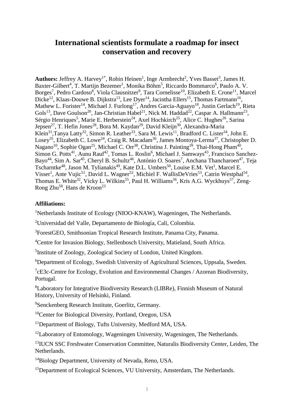# **International scientists formulate a roadmap for insect conservation and recovery**

Authors: Jeffrey A. Harvey<sup>1\*</sup>, Robin Heinen<sup>1</sup>, Inge Armbrecht<sup>2</sup>, Yves Basset<sup>3</sup>, James H. Baxter-Gilbert<sup>4</sup>, T. Martijn Bezemer<sup>1</sup>, Monika Böhm<sup>5</sup>, Riccardo Bommarco<sup>6</sup>, Paulo A. V. Borges<sup>7</sup>, Pedro Cardoso<sup>8</sup>, Viola Clausnitzer<sup>9</sup>, Tara Cornelisse<sup>10</sup>, Elizabeth E. Crone<sup>11</sup>, Marcel Dicke<sup>12</sup>, Klaas-Douwe B. Dijkstra<sup>13</sup>, Lee Dyer<sup>14</sup>, Jacintha Ellers<sup>15</sup>, Thomas Fartmann<sup>16</sup>, Mathew L. Forister<sup>14</sup>, Michael J. Furlong<sup>17</sup>, Andres Garcia-Aguayo<sup>18</sup>, Justin Gerlach<sup>19</sup>, Rieta Gols<sup>13</sup>, Dave Goulson<sup>20</sup>, Jan-Christian Habel<sup>21</sup>, Nick M. Haddad<sup>22</sup>, Caspar A. Hallmann<sup>23</sup>, Sérgio Henriques<sup>5</sup>, Marie E. Herberstein<sup>24</sup>, Axel Hochkirch<sup>25</sup>, Alice C. Hughes<sup>26</sup>, Sarina Jepsen<sup>27</sup>, T. Hefin Jones<sup>28</sup>, Bora M. Kaydan<sup>29</sup>, David Kleijn<sup>30</sup>, Alexandra-Maria Klein<sup>31</sup>, Tanya Latty<sup>32</sup>, Simon R. Leather<sup>33</sup>, Sara M. Lewis<sup>11</sup>, Bradford C. Lister<sup>34</sup>, John E. Losey<sup>35</sup>, Elizabeth C. Lowe<sup>24</sup>, Craig R. Macadam<sup>36</sup>, James Montoya-Lerma<sup>37</sup>, Christopher D. Nagano<sup>10</sup>, Sophie Ogan<sup>25</sup>, Michael C. Orr<sup>38</sup>, Christina J. Painting<sup>39</sup>, Thai-Hong Pham<sup>40</sup>, Simon G. Potts<sup>41</sup>, Aunu Rauf<sup>42</sup>, Tomas L. Roslin<sup>6</sup>, Michael J. Samways<sup>43</sup>, Francisco Sanchez-Bayo<sup>44</sup>, Sim A. Sar<sup>45</sup>, Cheryl B. Schultz<sup>46</sup>, António O. Soares<sup>7</sup>, Anchana Thancharoen<sup>47</sup>, Teja Tscharntke<sup>48</sup>, Jason M. Tylianakis<sup>49</sup>, Kate D.L. Umbers<sup>50</sup>, Louise E.M. Vet<sup>1</sup>, Marcel E. Visser<sup>1</sup>, Ante Vujic<sup>51</sup>, David L. Wagner<sup>52</sup>, Michiel F. WallisDeVries<sup>53</sup>, Catrin Westphal<sup>54</sup>, Thomas E. White<sup>32</sup>, Vicky L. Wilkins<sup>55</sup>, Paul H. Williams<sup>56</sup>, Kris A.G. Wyckhuys<sup>57</sup>, Zeng-Rong Zhu<sup>58</sup>, Hans de Kroon<sup>23</sup>

## **Affiliations:**

<sup>1</sup>Netherlands Institute of Ecology (NIOO-KNAW), Wageningen, The Netherlands.

<sup>2</sup>Universidad del Valle, Departamento de Biología, Cali, Colombia.

<sup>3</sup>ForestGEO, Smithsonian Tropical Research Institute, Panama City, Panama.

<sup>4</sup>Centre for Invasion Biology, Stellenbosch University, Matieland, South Africa.

<sup>5</sup>Institute of Zoology, Zoological Society of London, United Kingdom.

<sup>6</sup>Department of Ecology, Swedish University of Agricultural Sciences, Uppsala, Sweden.

 $7$ cE3c-Centre for Ecology, Evolution and Environmental Changes / Azorean Biodiversity, Portugal.

<sup>8</sup>Laboratory for Integrative Biodiversity Research (LIBRe), Finnish Museum of Natural History, University of Helsinki, Finland.

<sup>9</sup>Senckenberg Research Institute, Goerlitz, Germany.

<sup>10</sup>Center for Biological Diversity, Portland, Oregon, USA

<sup>11</sup>Department of Biology, Tufts University, Medford MA, USA.

 $12$ Laboratory of Entomology, Wageningen University, Wageningen, The Netherlands.

<sup>13</sup> IUCN SSC Freshwater Conservation Committee, Naturalis Biodiversity Center, Leiden, The Netherlands.

<sup>14</sup>Biology Department, University of Nevada, Reno, USA.

<sup>15</sup>Department of Ecological Sciences, VU University, Amsterdam, The Netherlands.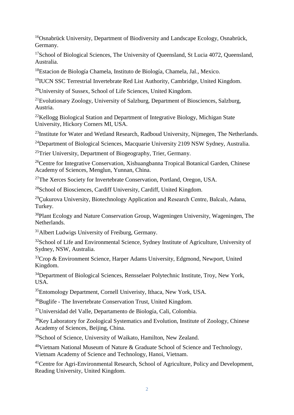<sup>16</sup>Osnabrück University, Department of Biodiversity and Landscape Ecology, Osnabrück, Germany.

<sup>17</sup>School of Biological Sciences, The University of Queensland, St Lucia 4072, Queensland, Australia.

<sup>18</sup>Estacion de Biología Chamela, Instituto de Biología, Chamela, Jal., Mexico.

<sup>19</sup>IUCN SSC Terrestrial Invertebrate Red List Authority, Cambridge, United Kingdom.

<sup>20</sup>University of Sussex, School of Life Sciences, United Kingdom.

<sup>21</sup>Evolutionary Zoology, University of Salzburg, Department of Biosciences, Salzburg, Austria.

 $22$ Kellogg Biological Station and Department of Integrative Biology, Michigan State University, Hickory Corners MI, USA.

<sup>23</sup>Institute for Water and Wetland Research, Radboud University, Nijmegen, The Netherlands.

<sup>24</sup>Department of Biological Sciences, Macquarie University 2109 NSW Sydney, Australia.

<sup>25</sup>Trier University, Department of Biogeography, Trier, Germany.

<sup>26</sup>Centre for Integrative Conservation, Xishuangbanna Tropical Botanical Garden, Chinese Academy of Sciences, Menglun, Yunnan, China.

<sup>27</sup>The Xerces Society for Invertebrate Conservation, Portland, Oregon, USA.

<sup>28</sup>School of Biosciences, Cardiff University, Cardiff, United Kingdom.

 $^{29}$ Cukurova University, Biotechnology Application and Research Centre, Balcalı, Adana, Turkey.

<sup>30</sup>Plant Ecology and Nature Conservation Group, Wageningen University, Wageningen, The Netherlands.

<sup>31</sup> Albert Ludwigs University of Freiburg, Germany.

<sup>32</sup>School of Life and Environmental Science, Sydney Institute of Agriculture, University of Sydney, NSW, Australia.

 $33C$ rop & Environment Science, Harper Adams University, Edgmond, Newport, United Kingdom.

<sup>34</sup>Department of Biological Sciences, Rensselaer Polytechnic Institute, Troy, New York, USA.

<sup>35</sup>Entomology Department, Cornell Univeristy, Ithaca, New York, USA.

<sup>36</sup>Buglife - The Invertebrate Conservation Trust, United Kingdom.

<sup>37</sup>Universidad del Valle, Departamento de Biología, Cali, Colombia.

<sup>38</sup>Key Laboratory for Zoological Systematics and Evolution, Institute of Zoology, Chinese Academy of Sciences, Beijing, China.

<sup>39</sup>School of Science, University of Waikato, Hamilton, New Zealand.

 $40$ Vietnam National Museum of Nature & Graduate School of Science and Technology, Vietnam Academy of Science and Technology, Hanoi, Vietnam.

<sup>41</sup>Centre for Agri-Environmental Research, School of Agriculture, Policy and Development, Reading University, United Kingdom.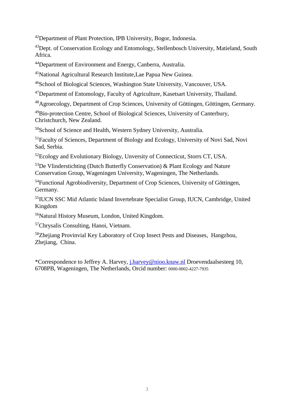<sup>42</sup>Department of Plant Protection, IPB University, Bogor, Indonesia.

<sup>43</sup>Dept. of Conservation Ecology and Entomology, Stellenbosch University, Matieland, South Africa.

<sup>44</sup>Department of Environment and Energy, Canberra, Australia.

<sup>45</sup>National Agricultural Research Institute,Lae Papua New Guinea.

<sup>46</sup>School of Biological Sciences, Washington State University, Vancouver, USA.

<sup>47</sup>Department of Entomology, Faculty of Agriculture, Kasetsart University, Thailand.

<sup>48</sup>Agroecology, Department of Crop Sciences, University of Göttingen, Göttingen, Germany.

<sup>49</sup>Bio-protection Centre, School of Biological Sciences, University of Canterbury, Christchurch, New Zealand.

<sup>50</sup>School of Science and Health, Western Sydney University, Australia.

<sup>51</sup>Faculty of Sciences, Department of Biology and Ecology, University of Novi Sad, Novi Sad, Serbia.

<sup>52</sup>Ecology and Evolutionary Biology, Unversity of Connecticut, Storrs CT, USA.

 $53$ De Vlinderstichting (Dutch Butterfly Conservation) & Plant Ecology and Nature Conservation Group, Wageningen University, Wageningen, The Netherlands.

<sup>54</sup>Functional Agrobiodiversity, Department of Crop Sciences, University of Göttingen, Germany.

55 IUCN SSC Mid Atlantic Island Invertebrate Specialist Group, IUCN, Cambridge, United Kingdom

<sup>56</sup>Natural History Museum, London, United Kingdom.

<sup>57</sup>Chrysalis Consulting, Hanoi, Vietnam.

<sup>58</sup>Zheijang Provinvial Key Laboratory of Crop Insect Pests and Diseases, Hangzhou, Zhejiang, China.

\*Correspondence to Jeffrey A. Harvey, [j.harvey@nioo.knaw.nl](mailto:j.harvey@nioo.knaw.nl) Droevendaalsesteeg 10, 6708PB, Wageningen, The Netherlands, Orcid number: 0000-0002-4227-7935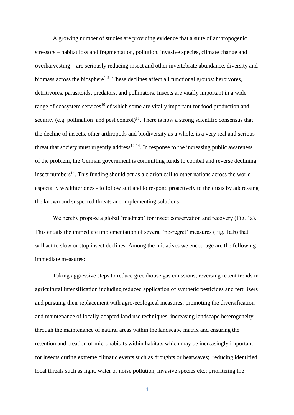A growing number of studies are providing evidence that a suite of anthropogenic stressors – habitat loss and fragmentation, pollution, invasive species, climate change and overharvesting – are seriously reducing insect and other invertebrate abundance, diversity and biomass across the biosphere<sup>1-9</sup>. These declines affect all functional groups: herbivores, detritivores, parasitoids, predators, and pollinators. Insects are vitally important in a wide range of ecosystem services<sup>10</sup> of which some are vitally important for food production and security (e.g. pollination and pest control) $<sup>11</sup>$ . There is now a strong scientific consensus that</sup> the decline of insects, other arthropods and biodiversity as a whole, is a very real and serious threat that society must urgently address<sup>12-14</sup>. In response to the increasing public awareness of the problem, the German government is committing funds to combat and reverse declining insect numbers<sup>14</sup>. This funding should act as a clarion call to other nations across the world  $$ especially wealthier ones - to follow suit and to respond proactively to the crisis by addressing the known and suspected threats and implementing solutions.

We hereby propose a global 'roadmap' for insect conservation and recovery (Fig. 1a). This entails the immediate implementation of several 'no-regret' measures (Fig. 1a,b) that will act to slow or stop insect declines. Among the initiatives we encourage are the following immediate measures:

Taking aggressive steps to reduce greenhouse gas emissions; reversing recent trends in agricultural intensification including reduced application of synthetic pesticides and fertilizers and pursuing their replacement with agro-ecological measures; promoting the diversification and maintenance of locally-adapted land use techniques; increasing landscape heterogeneity through the maintenance of natural areas within the landscape matrix and ensuring the retention and creation of microhabitats within habitats which may be increasingly important for insects during extreme climatic events such as droughts or heatwaves; reducing identified local threats such as light, water or noise pollution, invasive species etc.; prioritizing the

4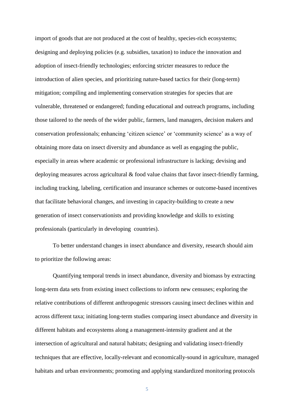import of goods that are not produced at the cost of healthy, species-rich ecosystems; designing and deploying policies (e.g. subsidies, taxation) to induce the innovation and adoption of insect-friendly technologies; enforcing stricter measures to reduce the introduction of alien species, and prioritizing nature-based tactics for their (long-term) mitigation; compiling and implementing conservation strategies for species that are vulnerable, threatened or endangered; funding educational and outreach programs, including those tailored to the needs of the wider public, farmers, land managers, decision makers and conservation professionals; enhancing 'citizen science' or 'community science' as a way of obtaining more data on insect diversity and abundance as well as engaging the public, especially in areas where academic or professional infrastructure is lacking; devising and deploying measures across agricultural & food value chains that favor insect-friendly farming, including tracking, labeling, certification and insurance schemes or outcome-based incentives that facilitate behavioral changes, and investing in capacity-building to create a new generation of insect conservationists and providing knowledge and skills to existing professionals (particularly in developing countries).

To better understand changes in insect abundance and diversity, research should aim to prioritize the following areas:

Quantifying temporal trends in insect abundance, diversity and biomass by extracting long-term data sets from existing insect collections to inform new censuses; exploring the relative contributions of different anthropogenic stressors causing insect declines within and across different taxa; initiating long-term studies comparing insect abundance and diversity in different habitats and ecosystems along a management-intensity gradient and at the intersection of agricultural and natural habitats; designing and validating insect-friendly techniques that are effective, locally-relevant and economically-sound in agriculture, managed habitats and urban environments; promoting and applying standardized monitoring protocols

5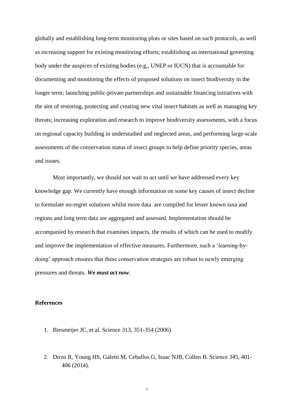globally and establishing long-term monitoring plots or sites based on such protocols, as well as increasing support for existing monitoring efforts; establishing an international governing body under the auspices of existing bodies (e.g., UNEP or IUCN) that is accountable for documenting and monitoring the effects of proposed solutions on insect biodiversity in the longer term; launching public-private partnerships and sustainable financing initiatives with the aim of restoring, protecting and creating new vital insect habitats as well as managing key threats; increasing exploration and research to improve biodiversity assessments, with a focus on regional capacity building in understudied and neglected areas, and performing large-scale assessments of the conservation status of insect groups to help define priority species, areas and issues.

Most importantly, we should not wait to act until we have addressed every key knowledge gap. We currently have enough information on some key causes of insect decline to formulate no-regret solutions whilst more data are compiled for lesser known taxa and regions and long term data are aggregated and assessed. Implementation should be accompanied by research that examines impacts, the results of which can be used to modify and improve the implementation of effective measures. Furthermore, such a 'learning-bydoing' approach ensures that these conservation strategies are robust to newly emerging pressures and threats. *We must act now.*

#### **References**

- 1. Biesmeijer JC, et al. Science 313, 351-354 (2006).
- 2. Dirzo R, Young HS, Galetti M, Ceballos G, Isaac NJB, Collen B. Science 345, 401- 406 (2014).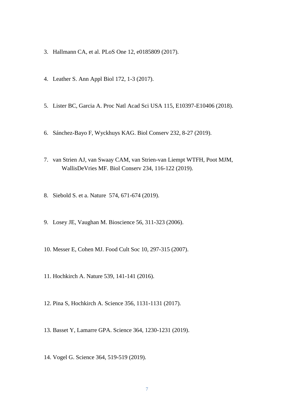- 3. Hallmann CA, et al. PLoS One 12, e0185809 (2017).
- 4. Leather S. Ann Appl Biol 172, 1-3 (2017).
- 5. Lister BC, Garcia A. Proc Natl Acad Sci USA 115, E10397-E10406 (2018).
- 6. Sánchez-Bayo F, Wyckhuys KAG. Biol Conserv 232, 8-27 (2019).
- 7. van Strien AJ, van Swaay CAM, van Strien-van Liempt WTFH, Poot MJM, WallisDeVries MF. Biol Conserv 234, 116-122 (2019).
- 8. Siebold S. et a. Nature 574, 671-674 (2019).
- 9. Losey JE, Vaughan M. Bioscience 56, 311-323 (2006).
- 10. Messer E, Cohen MJ. Food Cult Soc 10, 297-315 (2007).
- 11. Hochkirch A. Nature 539, 141-141 (2016).
- 12. Pina S, Hochkirch A. Science 356, 1131-1131 (2017).
- 13. Basset Y, Lamarre GPA. Science 364, 1230-1231 (2019).
- 14. Vogel G. Science 364, 519-519 (2019).